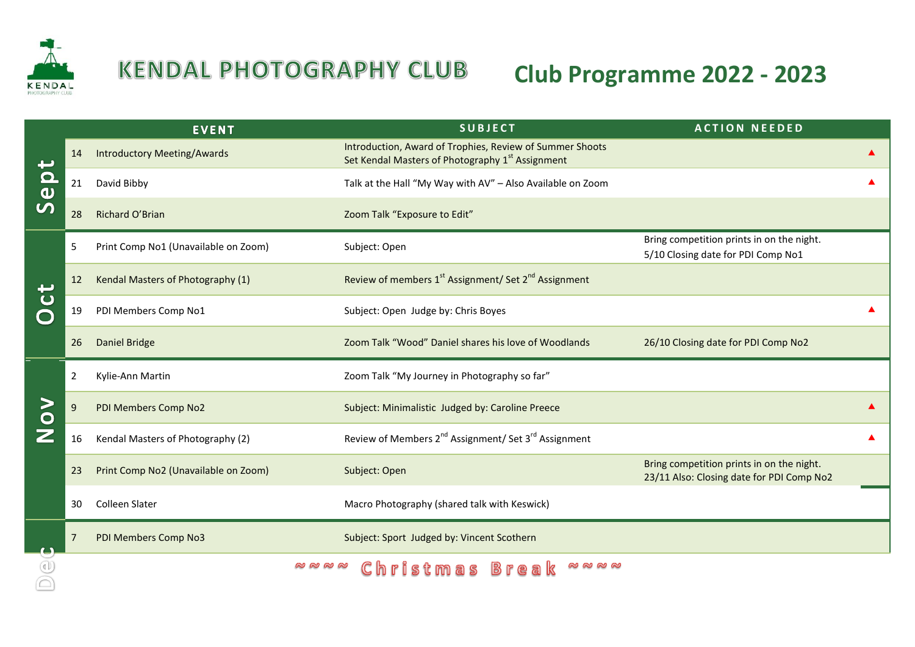

## **KENDAL PHOTOGRAPHY CLUB**

## **Club Programme 2022 - 2023**

|                         |                | <b>EVENT</b>                         | <b>SUBJECT</b>                                                                                               | <b>ACTION NEEDED</b>                                                                   |  |
|-------------------------|----------------|--------------------------------------|--------------------------------------------------------------------------------------------------------------|----------------------------------------------------------------------------------------|--|
| $\frac{\Omega}{\omega}$ | 14             | <b>Introductory Meeting/Awards</b>   | Introduction, Award of Trophies, Review of Summer Shoots<br>Set Kendal Masters of Photography 1st Assignment |                                                                                        |  |
|                         | 21             | David Bibby                          | Talk at the Hall "My Way with AV" - Also Available on Zoom                                                   |                                                                                        |  |
|                         | 28             | Richard O'Brian                      | Zoom Talk "Exposure to Edit"                                                                                 |                                                                                        |  |
| $\mathbf C$             | 5              | Print Comp No1 (Unavailable on Zoom) | Subject: Open                                                                                                | Bring competition prints in on the night.<br>5/10 Closing date for PDI Comp No1        |  |
|                         | 12             | Kendal Masters of Photography (1)    | Review of members 1 <sup>st</sup> Assignment/ Set 2 <sup>nd</sup> Assignment                                 |                                                                                        |  |
|                         | 19             | PDI Members Comp No1                 | Subject: Open Judge by: Chris Boyes                                                                          |                                                                                        |  |
|                         | 26             | <b>Daniel Bridge</b>                 | Zoom Talk "Wood" Daniel shares his love of Woodlands                                                         | 26/10 Closing date for PDI Comp No2                                                    |  |
| $\geq$                  | $\overline{2}$ | Kylie-Ann Martin                     | Zoom Talk "My Journey in Photography so far"                                                                 |                                                                                        |  |
|                         |                |                                      |                                                                                                              |                                                                                        |  |
|                         | 9              | PDI Members Comp No2                 | Subject: Minimalistic Judged by: Caroline Preece                                                             |                                                                                        |  |
| $\bullet$               | 16             | Kendal Masters of Photography (2)    | Review of Members 2 <sup>nd</sup> Assignment/ Set 3 <sup>rd</sup> Assignment                                 |                                                                                        |  |
|                         | 23             | Print Comp No2 (Unavailable on Zoom) | Subject: Open                                                                                                | Bring competition prints in on the night.<br>23/11 Also: Closing date for PDI Comp No2 |  |
|                         | 30             | <b>Colleen Slater</b>                | Macro Photography (shared talk with Keswick)                                                                 |                                                                                        |  |
|                         |                | PDI Members Comp No3                 | Subject: Sport Judged by: Vincent Scothern                                                                   |                                                                                        |  |